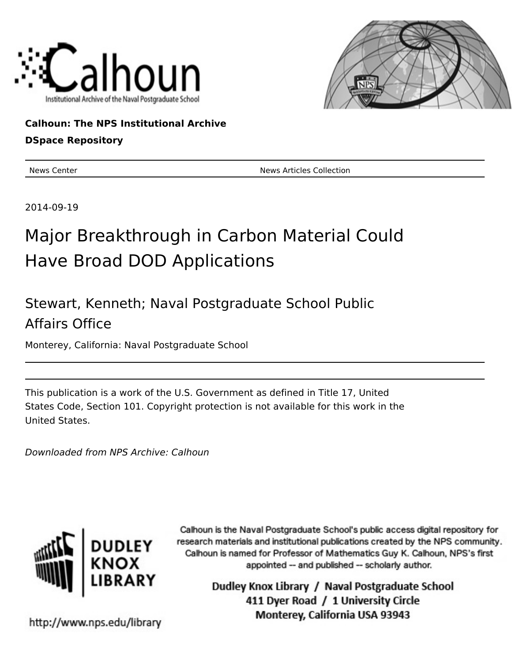



### **Calhoun: The NPS Institutional Archive**

### **DSpace Repository**

News Center News Articles Collection

2014-09-19

# Major Breakthrough in Carbon Material Could Have Broad DOD Applications

## Stewart, Kenneth; Naval Postgraduate School Public Affairs Office

Monterey, California: Naval Postgraduate School

This publication is a work of the U.S. Government as defined in Title 17, United States Code, Section 101. Copyright protection is not available for this work in the United States.

Downloaded from NPS Archive: Calhoun



Calhoun is the Naval Postgraduate School's public access digital repository for research materials and institutional publications created by the NPS community. Calhoun is named for Professor of Mathematics Guy K. Calhoun, NPS's first appointed -- and published -- scholarly author.

> Dudley Knox Library / Naval Postgraduate School 411 Dyer Road / 1 University Circle Monterey, California USA 93943

http://www.nps.edu/library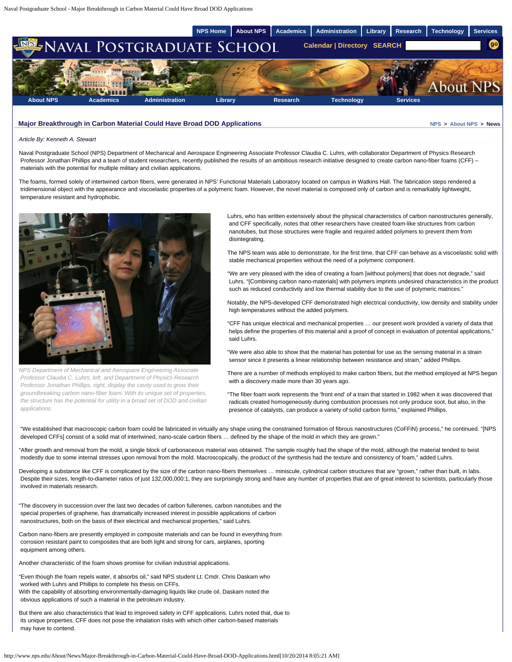

#### **Major Breakthrough in Carbon Material Could Have Broad DOD Applications <b>Account 10 and 10 and 10 and 10 and 10 and 10 and 10 and 10 and 10 and 10 and 10 and 10 and 10 and 10 and 10 and 10 and 10 and 10 and 10 and 10 and**

#### *Article By: Kenneth A. Stewart*

Naval Postgraduate School (NPS) Department of Mechanical and Aerospace Engineering Associate Professor Claudia C. Luhrs, with collaborator Department of Physics Research Professor Jonathan Phillips and a team of student researchers, recently published the results of an ambitious research initiative designed to create carbon nano-fiber foams (CFF) materials with the potential for multiple military and civilian applications.

The foams, formed solely of intertwined carbon fibers, were generated in NPS' Functional Materials Laboratory located on campus in Watkins Hall. The fabrication steps rendered a tridimensional object with the appearance and viscoelastic properties of a polymeric foam. However, the novel material is composed only of carbon and is remarkably lightweight, temperature resistant and hydrophobic.



*NPS Department of Mechanical and Aerospace Engineering Associate Professor Claudia C. Luhrs, left, and Department of Physics Research Professor Jonathan Phillips, right, display the cavity used to grow their groundbreaking carbon nano-fiber foam. With its unique set of properties, the structure has the potential for utility in a broad set of DOD and civilian applications.*

Luhrs, who has written extensively about the physical characteristics of carbon nanostructures generally, and CFF specifically, notes that other researchers have created foam-like structures from carbon nanotubes, but those structures were fragile and required added polymers to prevent them from disintegrating.

The NPS team was able to demonstrate, for the first time, that CFF can behave as a viscoelastic solid with stable mechanical properties without the need of a polymeric component.

"We are very pleased with the idea of creating a foam [without polymers] that does not degrade," said Luhrs. "[Combining carbon nano-materials] with polymers imprints undesired characteristics in the product such as reduced conductivity and low thermal stability due to the use of polymeric matrices."

Notably, the NPS-developed CFF demonstrated high electrical conductivity, low density and stability under high temperatures without the added polymers.

"CFF has unique electrical and mechanical properties … our present work provided a variety of data that helps define the properties of this material and a proof of concept in evaluation of potential applications," said Luhrs.

"We were also able to show that the material has potential for use as the sensing material in a strain sensor since it presents a linear relationship between resistance and strain," added Phillips.

There are a number of methods employed to make carbon fibers, but the method employed at NPS began with a discovery made more than 30 years ago.

"The fiber foam work represents the 'front end' of a train that started in 1982 when it was discovered that radicals created homogeneously during combustion processes not only produce soot, but also, in the presence of catalysts, can produce a variety of solid carbon forms," explained Phillips.

"We established that macroscopic carbon foam could be fabricated in virtually any shape using the constrained formation of fibrous nanostructures (CoFFiN) process," he continued. "[NPS developed CFFs] consist of a solid mat of intertwined, nano-scale carbon fibers … defined by the shape of the mold in which they are grown."

"After growth and removal from the mold, a single block of carbonaceous material was obtained. The sample roughly had the shape of the mold, although the material tended to twist modestly due to some internal stresses upon removal from the mold. Macroscopically, the product of the synthesis had the texture and consistency of foam," added Luhrs.

Developing a substance like CFF is complicated by the size of the carbon nano-fibers themselves ... miniscule, cylindrical carbon structures that are "grown," rather than built, in labs. Despite their sizes, length-to-diameter ratios of just 132,000,000:1, they are surprisingly strong and have any number of properties that are of great interest to scientists, particularly those involved in materials research.

"The discovery in succession over the last two decades of carbon fullerenes, carbon nanotubes and the special properties of graphene, has dramatically increased interest in possible applications of carbon nanostructures, both on the basis of their electrical and mechanical properties," said Luhrs.

Carbon nano-fibers are presently employed in composite materials and can be found in everything from corrosion resistant paint to composites that are both light and strong for cars, airplanes, sporting equipment among others.

Another characteristic of the foam shows promise for civilian industrial applications.

"Even though the foam repels water, it absorbs oil," said NPS student Lt. Cmdr. Chris Daskam who worked with Luhrs and Phillips to complete his thesis on CFFs. With the capability of absorbing environmentally-damaging liquids like crude oil, Daskam noted the obvious applications of such a material in the petroleum industry.

But there are also characteristics that lead to improved safety in CFF applications. Luhrs noted that, due to its unique properties, CFF does not pose the inhalation risks with which other carbon-based materials may have to contend.